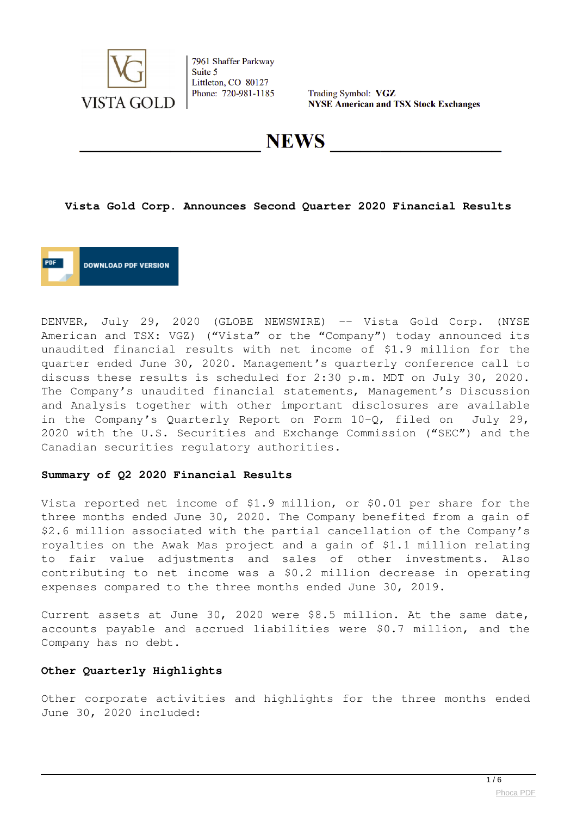

Trading Symbol: VGZ **NYSE American and TSX Stock Exchanges** 

**NEWS** 

#### **Vista Gold Corp. Announces Second Quarter 2020 Financial Results**

**DOWNLOAD PDF VERSION** 

DENVER, July 29, 2020 (GLOBE NEWSWIRE) -- Vista Gold Corp. (NYSE American and TSX: VGZ) ("Vista" or the "Company") today announced its unaudited financial results with net income of \$1.9 million for the quarter ended June 30, 2020. Management's quarterly conference call to discuss these results is scheduled for 2:30 p.m. MDT on July 30, 2020. The Company's unaudited financial statements, Management's Discussion and Analysis together with other important disclosures are available in the Company's Quarterly Report on Form 10-Q, filed on July 29, 2020 with the U.S. Securities and Exchange Commission ("SEC") and the Canadian securities regulatory authorities.

#### **Summary of Q2 2020 Financial Results**

Vista reported net income of \$1.9 million, or \$0.01 per share for the three months ended June 30, 2020. The Company benefited from a gain of \$2.6 million associated with the partial cancellation of the Company's royalties on the Awak Mas project and a gain of \$1.1 million relating to fair value adjustments and sales of other investments. Also contributing to net income was a \$0.2 million decrease in operating expenses compared to the three months ended June 30, 2019.

Current assets at June 30, 2020 were \$8.5 million. At the same date, accounts payable and accrued liabilities were \$0.7 million, and the Company has no debt.

#### **Other Quarterly Highlights**

Other corporate activities and highlights for the three months ended June 30, 2020 included: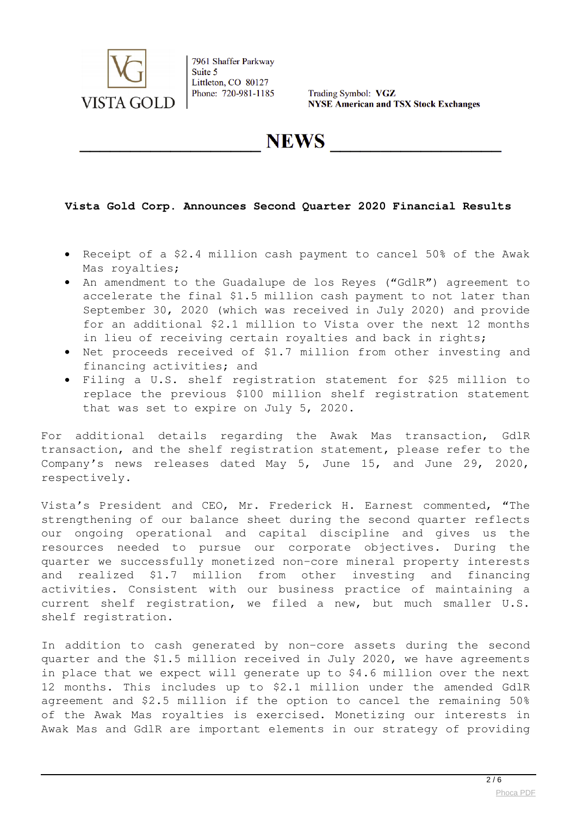

Trading Symbol: VGZ **NYSE American and TSX Stock Exchanges** 

**NEWS** 

## **Vista Gold Corp. Announces Second Quarter 2020 Financial Results**

- Receipt of a \$2.4 million cash payment to cancel 50% of the Awak Mas royalties;
- An amendment to the Guadalupe de los Reyes ("GdlR") agreement to accelerate the final \$1.5 million cash payment to not later than September 30, 2020 (which was received in July 2020) and provide for an additional \$2.1 million to Vista over the next 12 months in lieu of receiving certain royalties and back in rights;
- Net proceeds received of \$1.7 million from other investing and financing activities; and
- Filing a U.S. shelf registration statement for \$25 million to replace the previous \$100 million shelf registration statement that was set to expire on July 5, 2020.

For additional details regarding the Awak Mas transaction, GdlR transaction, and the shelf registration statement, please refer to the Company's news releases dated May 5, June 15, and June 29, 2020, respectively.

Vista's President and CEO, Mr. Frederick H. Earnest commented, "The strengthening of our balance sheet during the second quarter reflects our ongoing operational and capital discipline and gives us the resources needed to pursue our corporate objectives. During the quarter we successfully monetized non-core mineral property interests and realized \$1.7 million from other investing and financing activities. Consistent with our business practice of maintaining a current shelf registration, we filed a new, but much smaller U.S. shelf registration.

In addition to cash generated by non-core assets during the second quarter and the \$1.5 million received in July 2020, we have agreements in place that we expect will generate up to \$4.6 million over the next 12 months. This includes up to \$2.1 million under the amended GdlR agreement and \$2.5 million if the option to cancel the remaining 50% of the Awak Mas royalties is exercised. Monetizing our interests in Awak Mas and GdlR are important elements in our strategy of providing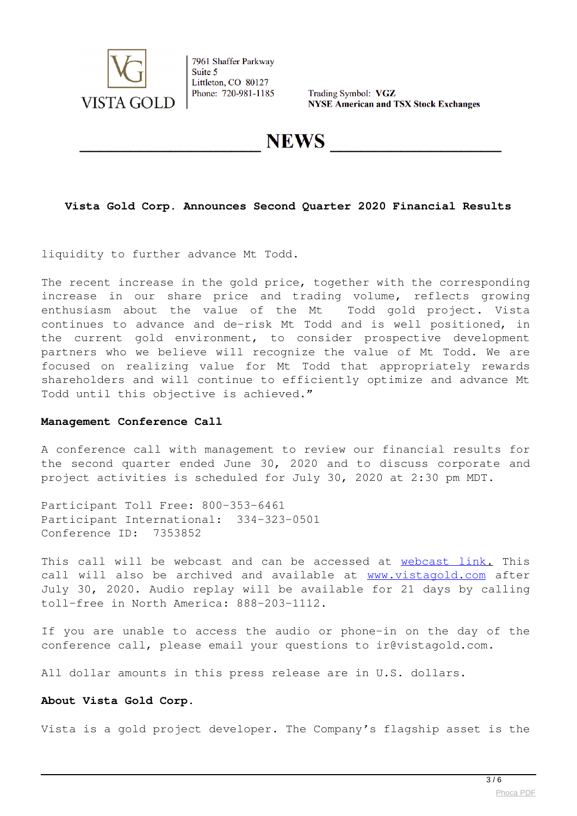

Trading Symbol: VGZ **NYSE American and TSX Stock Exchanges** 

**NEWS** 

## **Vista Gold Corp. Announces Second Quarter 2020 Financial Results**

liquidity to further advance Mt Todd.

The recent increase in the gold price, together with the corresponding increase in our share price and trading volume, reflects growing enthusiasm about the value of the Mt Todd gold project. Vista continues to advance and de-risk Mt Todd and is well positioned, in the current gold environment, to consider prospective development partners who we believe will recognize the value of Mt Todd. We are focused on realizing value for Mt Todd that appropriately rewards shareholders and will continue to efficiently optimize and advance Mt Todd until this objective is achieved."

#### **Management Conference Call**

A conference call with management to review our financial results for the second quarter ended June 30, 2020 and to discuss corporate and project activities is scheduled for July 30, 2020 at 2:30 pm MDT.

Participant Toll Free: 800-353-6461 Participant International: 334-323-0501 Conference ID: 7353852

This call will be webcast and can be accessed at [webcast link](https://www.globenewswire.com/Tracker?data=0ObT0n9TmXwPqGTHP-VZuxC0G_KGUUsC6Ylui93rrYkwOs7FNW2EEALlnofR8pK0cL0NIeltL4hKA1nBTQdy_9286d3GE5xz_N_JTKWsZQqmiCxRLWYN4__VXa2gdWc3ZLd2ptEdBjAWUa4m1F2UbBOQ_zkvrmJiLSnE-pwHqry53vNb34kecag4N49em39VHQ8JXZXG7vGhpqXxbNYT86xos_ekhzfrgF_-dIZbSHKJPhD849MuY2ql019PBGLlzmoNeTVu0K87ZtL0jO6wrFxr2i13yl6Jbk2ZRahYWgJwwKURnf4cPJoJX49aeh3LnBQVkwvriJb0-_5WvokNYrYZ0VFiucDYzV7eLppPJeuWpXEbTaHXahUff9tEIoSG). This call will also be archived and available at [www.vistagold.com](https://www.globenewswire.com/Tracker?data=VDpjJMYrzlhWfpTlXkUMpGKdAxrVc5LpK3aSY9cbGuLHZF59H2zOAdmd4AyB47T8PgON8sQOBJKMNas_My5QZQ==) after July 30, 2020. Audio replay will be available for 21 days by calling toll-free in North America: 888-203-1112.

If you are unable to access the audio or phone-in on the day of the conference call, please email your questions to ir@vistagold.com.

All dollar amounts in this press release are in U.S. dollars.

#### **About Vista Gold Corp.**

Vista is a gold project developer. The Company's flagship asset is the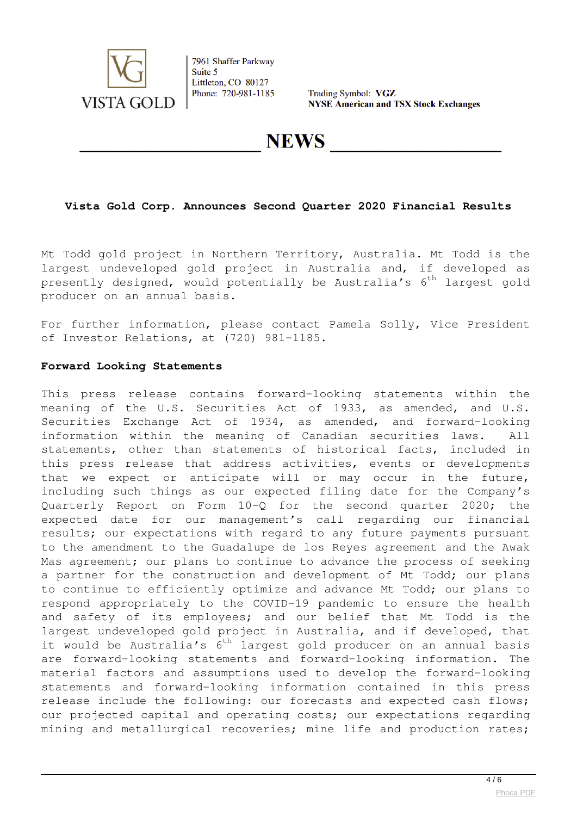

Trading Symbol: VGZ **NYSE American and TSX Stock Exchanges** 

**NEWS** 

## **Vista Gold Corp. Announces Second Quarter 2020 Financial Results**

Mt Todd gold project in Northern Territory, Australia. Mt Todd is the largest undeveloped gold project in Australia and, if developed as presently designed, would potentially be Australia's  $6^{th}$  largest gold producer on an annual basis.

For further information, please contact Pamela Solly, Vice President of Investor Relations, at (720) 981-1185.

#### **Forward Looking Statements**

This press release contains forward-looking statements within the meaning of the U.S. Securities Act of 1933, as amended, and U.S. Securities Exchange Act of 1934, as amended, and forward-looking information within the meaning of Canadian securities laws. All statements, other than statements of historical facts, included in this press release that address activities, events or developments that we expect or anticipate will or may occur in the future, including such things as our expected filing date for the Company's Quarterly Report on Form 10-Q for the second quarter 2020; the expected date for our management's call regarding our financial results; our expectations with regard to any future payments pursuant to the amendment to the Guadalupe de los Reyes agreement and the Awak Mas agreement; our plans to continue to advance the process of seeking a partner for the construction and development of Mt Todd; our plans to continue to efficiently optimize and advance Mt Todd; our plans to respond appropriately to the COVID-19 pandemic to ensure the health and safety of its employees; and our belief that Mt Todd is the largest undeveloped gold project in Australia, and if developed, that it would be Australia's  $6^{th}$  largest gold producer on an annual basis are forward-looking statements and forward-looking information. The material factors and assumptions used to develop the forward-looking statements and forward-looking information contained in this press release include the following: our forecasts and expected cash flows; our projected capital and operating costs; our expectations regarding mining and metallurgical recoveries; mine life and production rates;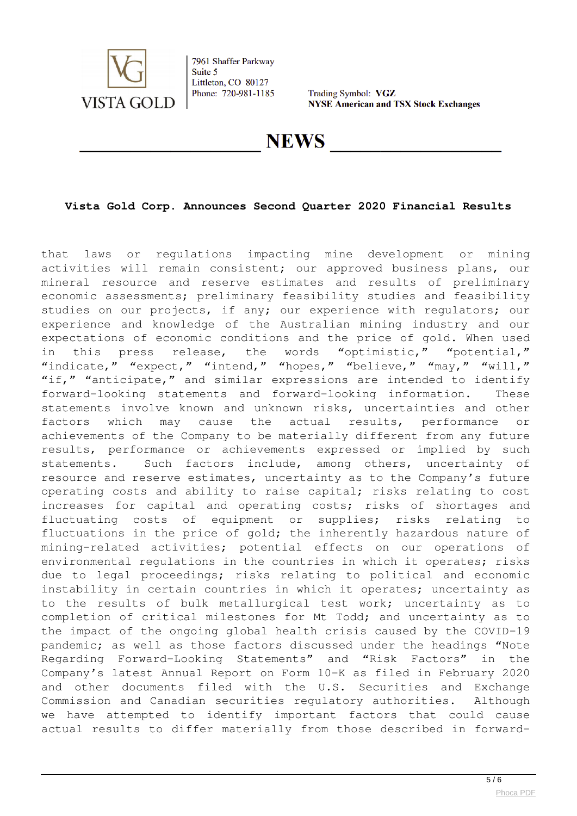

Trading Symbol: VGZ **NYSE American and TSX Stock Exchanges** 

**NEWS** 

## **Vista Gold Corp. Announces Second Quarter 2020 Financial Results**

that laws or regulations impacting mine development or mining activities will remain consistent; our approved business plans, our mineral resource and reserve estimates and results of preliminary economic assessments; preliminary feasibility studies and feasibility studies on our projects, if any; our experience with regulators; our experience and knowledge of the Australian mining industry and our expectations of economic conditions and the price of gold. When used in this press release, the words "optimistic," "potential," "indicate," "expect," "intend," "hopes," "believe," "may," "will," "if," "anticipate," and similar expressions are intended to identify forward-looking statements and forward-looking information. These statements involve known and unknown risks, uncertainties and other factors which may cause the actual results, performance or achievements of the Company to be materially different from any future results, performance or achievements expressed or implied by such statements. Such factors include, among others, uncertainty of resource and reserve estimates, uncertainty as to the Company's future operating costs and ability to raise capital; risks relating to cost increases for capital and operating costs; risks of shortages and fluctuating costs of equipment or supplies; risks relating to fluctuations in the price of gold; the inherently hazardous nature of mining-related activities; potential effects on our operations of environmental regulations in the countries in which it operates; risks due to legal proceedings; risks relating to political and economic instability in certain countries in which it operates; uncertainty as to the results of bulk metallurgical test work; uncertainty as to completion of critical milestones for Mt Todd; and uncertainty as to the impact of the ongoing global health crisis caused by the COVID-19 pandemic; as well as those factors discussed under the headings "Note Regarding Forward-Looking Statements" and "Risk Factors" in the Company's latest Annual Report on Form 10-K as filed in February 2020 and other documents filed with the U.S. Securities and Exchange Commission and Canadian securities regulatory authorities. Although we have attempted to identify important factors that could cause actual results to differ materially from those described in forward-